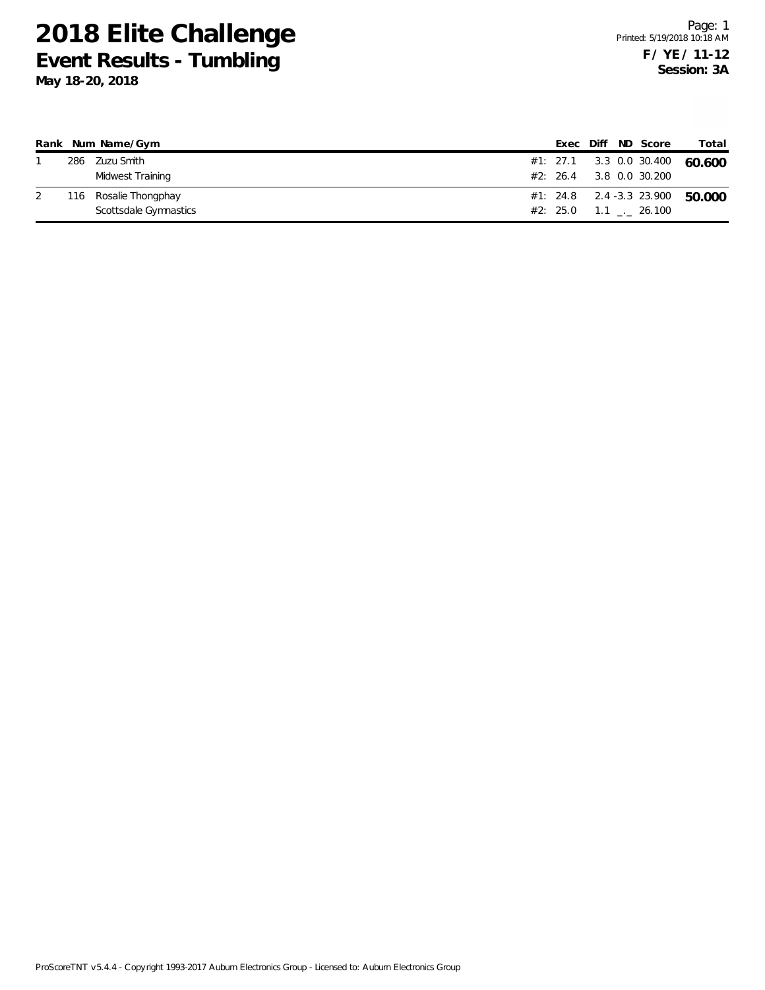|     | Rank Num Name/Gym     |  |  | Exec Diff ND Score            | Total  |
|-----|-----------------------|--|--|-------------------------------|--------|
|     | 286 Zuzu Smith        |  |  | #1: 27.1 3.3 0.0 30.400       | 60.600 |
|     | Midwest Training      |  |  | #2: 26.4 3.8 0.0 30.200       |        |
| 116 | Rosalie Thongphay     |  |  | #1: 24.8 2.4 -3.3 23.900      | 50.000 |
|     | Scottsdale Gymnastics |  |  | $#2: 25.0 1.1$ $_{-1} 26.100$ |        |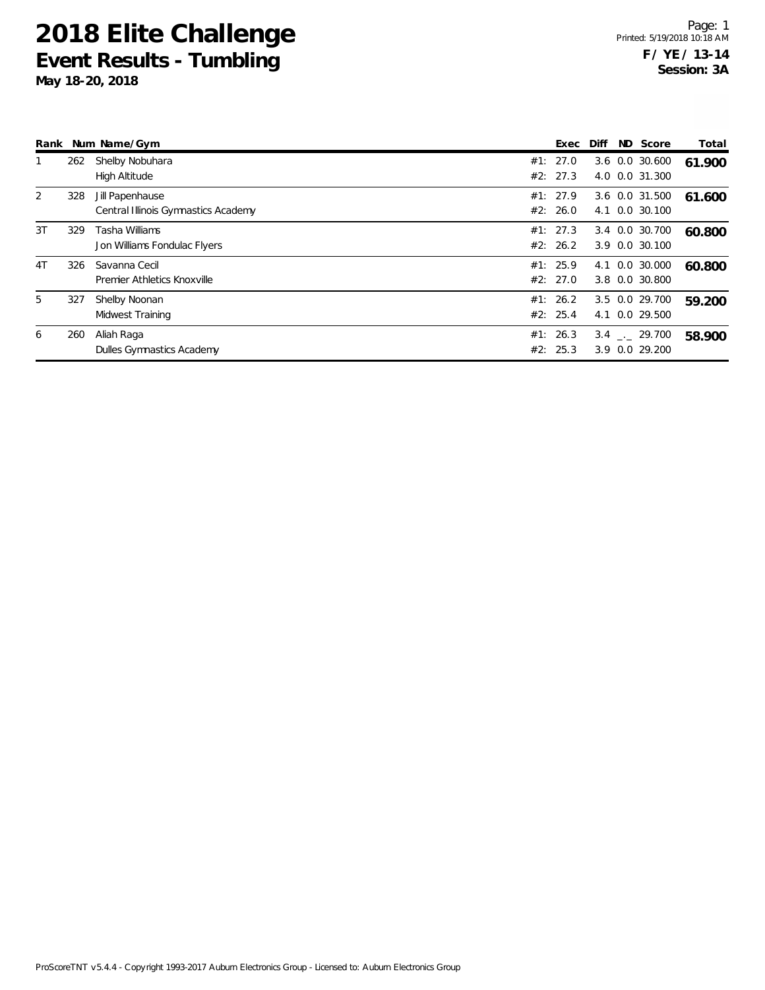|                |     | Rank Num Name/Gym                                      | Exec                 | Diff | ND Score                          | Total  |
|----------------|-----|--------------------------------------------------------|----------------------|------|-----------------------------------|--------|
|                | 262 | Shelby Nobuhara<br><b>High Altitude</b>                | #1: 27.0<br>#2: 27.3 |      | 3.6 0.0 30.600<br>4.0 0.0 31.300  | 61.900 |
| 2              | 328 | Jill Papenhause<br>Central Illinois Gymnastics Academy | #1: 27.9<br>#2: 26.0 |      | 3.6 0.0 31.500<br>4.1 0.0 30.100  | 61.600 |
| 3T             | 329 | Tasha Williams<br>Jon Williams Fondulac Flyers         | #1: 27.3<br>#2: 26.2 |      | 3.4 0.0 30.700<br>3.9 0.0 30.100  | 60.800 |
| 4 <sub>T</sub> | 326 | Savanna Cecil<br>Premier Athletics Knoxville           | #1: 25.9<br>#2: 27.0 |      | 4.1 0.0 30.000<br>3.8 0.0 30.800  | 60.800 |
| 5              | 327 | Shelby Noonan<br>Midwest Training                      | #1: 26.2<br>#2: 25.4 |      | 3.5 0.0 29.700<br>4.1 0.0 29.500  | 59.200 |
| 6              | 260 | Aliah Raga<br>Dulles Gymnastics Academy                | #1: 26.3<br>#2: 25.3 |      | $3.4$ $-29.700$<br>3.9 0.0 29.200 | 58.900 |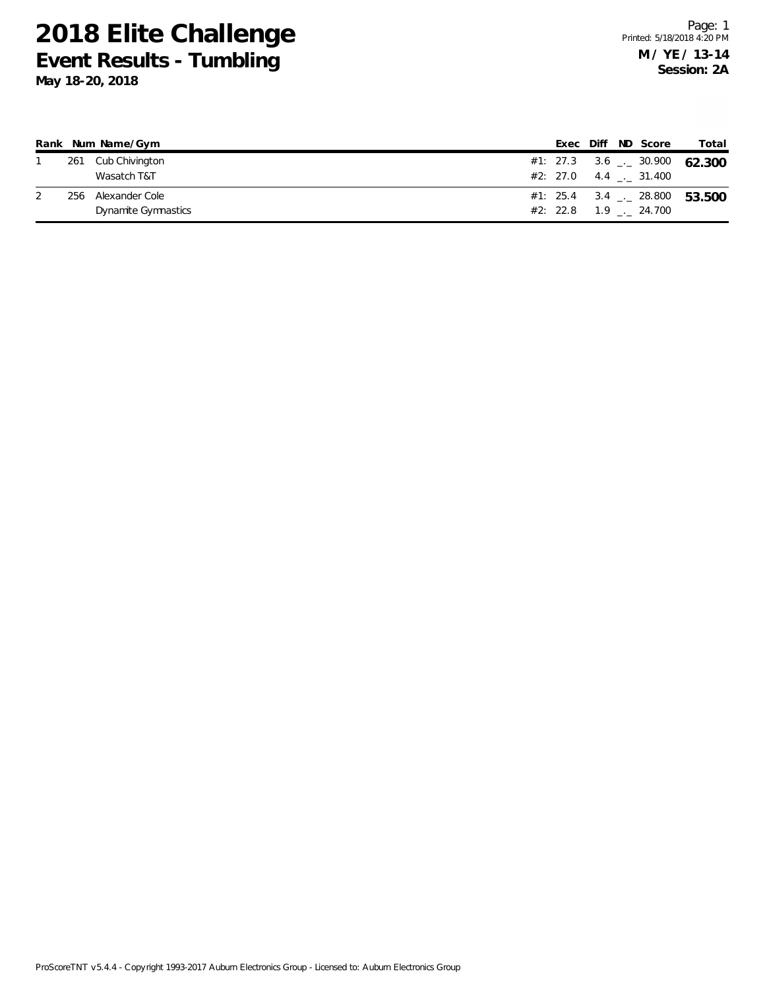|     | Rank Num Name/Gym   |  |  | Exec Diff ND Score      | Total                                    |
|-----|---------------------|--|--|-------------------------|------------------------------------------|
|     | 261 Cub Chivington  |  |  |                         | #1: 27.3 3.6 $\leq$ 30.900 62.300        |
|     | Wasatch T&T         |  |  | #2: 27.0 4.4 . 31.400   |                                          |
| 256 | Alexander Cole      |  |  |                         | #1: 25.4 3.4 $\frac{1}{2}$ 28.800 53.500 |
|     | Dynamite Gymnastics |  |  | $#2: 22.8$ 1.9 . 24.700 |                                          |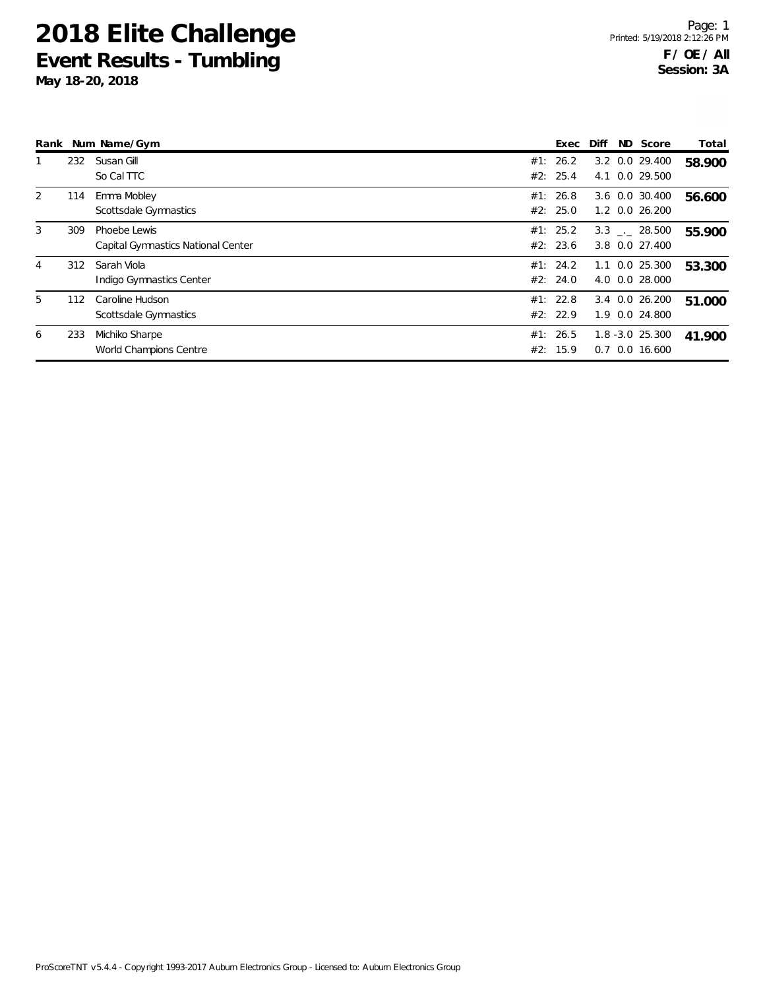|   |     | Rank Num Name/Gym                                  |            | Exec                 | Diff | ND Score                               | Total  |
|---|-----|----------------------------------------------------|------------|----------------------|------|----------------------------------------|--------|
|   | 232 | Susan Gill<br>So Cal TTC                           |            | #1: 26.2<br>#2: 25.4 |      | 3.2 0.0 29.400<br>4.1 0.0 29.500       | 58.900 |
| 2 | 114 | Emma Mobley<br>Scottsdale Gymnastics               |            | #1: 26.8<br>#2: 25.0 |      | 3.6 0.0 30.400<br>1.2 0.0 26.200       | 56.600 |
| 3 | 309 | Phoebe Lewis<br>Capital Gymnastics National Center |            | #1: 25.2<br>#2: 23.6 |      | 3.3 . 28.500<br>3.8 0.0 27.400         | 55.900 |
| 4 | 312 | Sarah Viola<br>Indigo Gymnastics Center            |            | #1: 24.2<br>#2: 24.0 |      | 1.1 0.0 25.300<br>4.0 0.0 28.000       | 53.300 |
| 5 | 112 | Caroline Hudson<br>Scottsdale Gymnastics           |            | #1: 22.8<br>#2: 22.9 | 3.4  | $0.0$ 26.200<br>1.9 0.0 24.800         | 51.000 |
| 6 | 233 | Michiko Sharpe<br>World Champions Centre           | #1:<br>#2: | 26.5<br>15.9         |      | $1.8 - 3.0$ 25.300<br>$0.7$ 0.0 16.600 | 41.900 |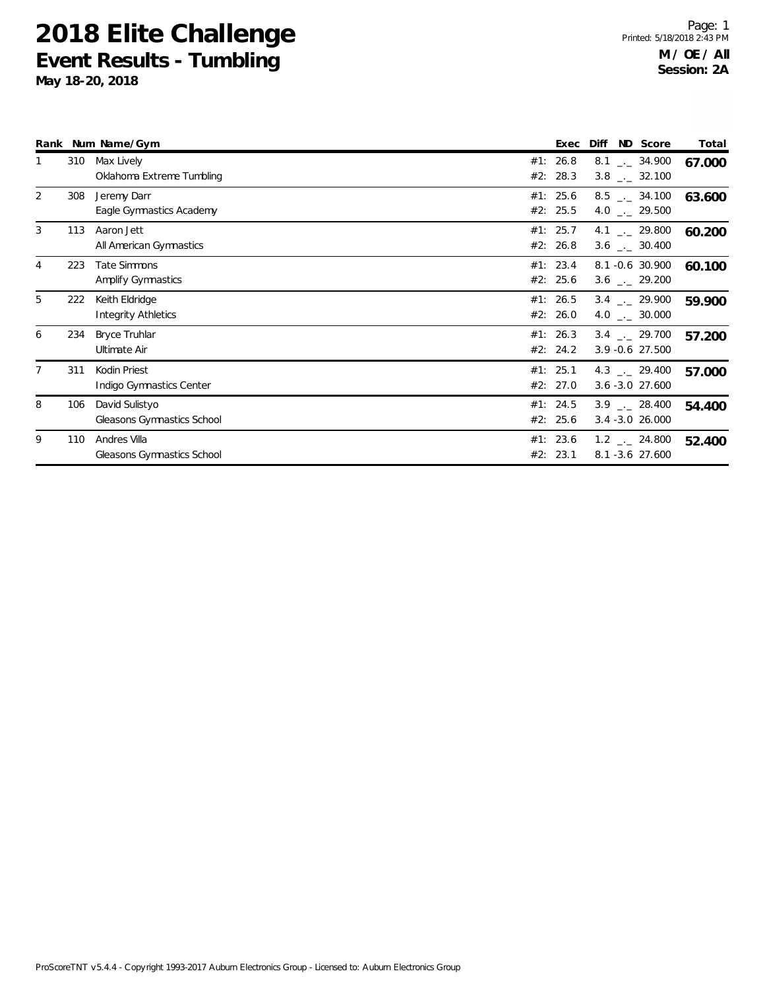|   |     | Rank Num Name/Gym                            | Exec                 | Diff                                              | ND Score | Total  |
|---|-----|----------------------------------------------|----------------------|---------------------------------------------------|----------|--------|
|   | 310 | Max Lively<br>Oklahoma Extreme Tumbling      | #1: 26.8<br>#2: 28.3 | $8.1$ $-.$ 34.900<br>$3.8$ $_{-1}$ 32.100         |          | 67.000 |
| 2 | 308 | Jeremy Darr<br>Eagle Gymnastics Academy      | #1: 25.6<br>#2: 25.5 | $8.5$ $\_\_$ 34.100<br>4.0 $_{\leftarrow}$ 29.500 |          | 63.600 |
| 3 | 113 | Aaron Jett<br>All American Gymnastics        | #1: 25.7<br>#2: 26.8 | 4.1 $\qquad$ 29.800<br>$3.6$ _._ 30.400           |          | 60.200 |
| 4 | 223 | Tate Simmons<br>Amplify Gymnastics           | #1: 23.4<br>#2: 25.6 | 8.1 -0.6 30.900<br>$3.6$ $_{\leftarrow}$ 29.200   |          | 60.100 |
| 5 | 222 | Keith Eldridge<br>Integrity Athletics        | #1: 26.5<br>#2: 26.0 | $3.4$ $-.$ 29.900<br>4.0 $\frac{1}{2}$ 30.000     |          | 59.900 |
| 6 | 234 | <b>Bryce Truhlar</b><br>Ultimate Air         | #1: 26.3<br>#2: 24.2 | $3.4$ $-.$ 29.700<br>3.9 - 0.6 27.500             |          | 57.200 |
|   | 311 | Kodin Priest<br>Indigo Gymnastics Center     | #1: 25.1<br>#2: 27.0 | 4.3 $\frac{1}{2}$ 29.400<br>$3.6 - 3.0$ 27.600    |          | 57.000 |
| 8 | 106 | David Sulistyo<br>Gleasons Gymnastics School | #1: 24.5<br>#2: 25.6 | $3.9$ $-.28.400$<br>$3.4 - 3.0$ 26.000            |          | 54.400 |
| 9 | 110 | Andres Villa<br>Gleasons Gymnastics School   | #1: 23.6<br>#2: 23.1 | $1.2$ $_{\leftarrow}$ 24.800<br>8.1 - 3.6 27.600  |          | 52.400 |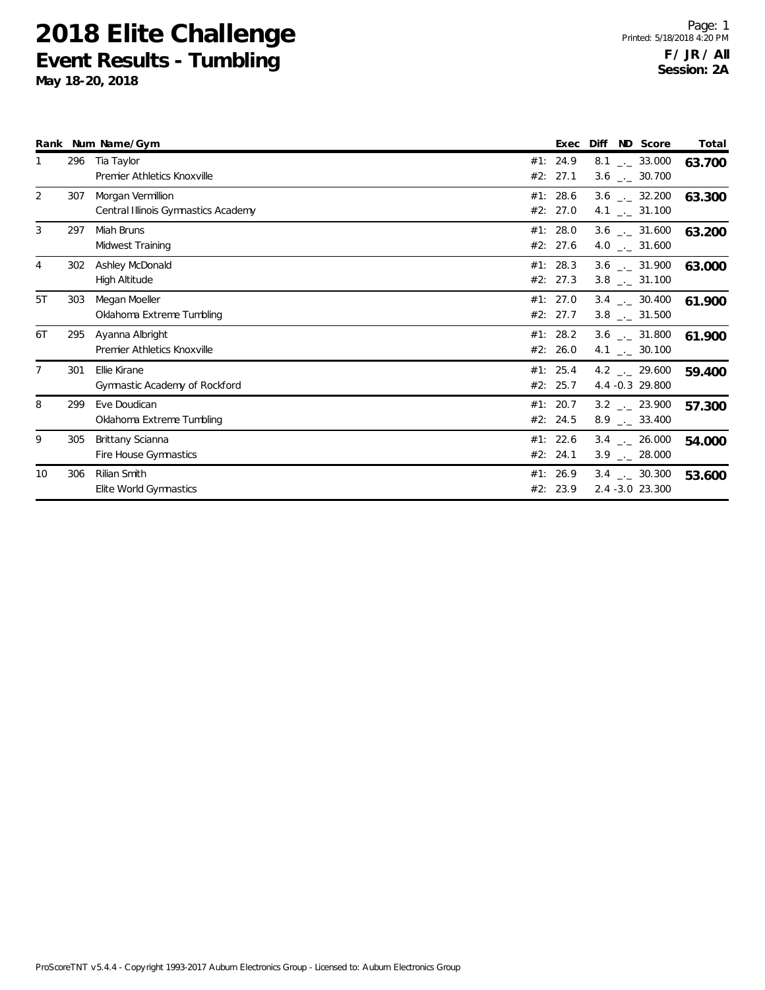|                |     | Rank Num Name/Gym                                        | Exec                 | Diff ND Score                                                | Total  |
|----------------|-----|----------------------------------------------------------|----------------------|--------------------------------------------------------------|--------|
|                | 296 | Tia Taylor<br>Premier Athletics Knoxville                | #1: 24.9<br>#2: 27.1 | $8.1$ $_{\leftarrow}$ 33.000<br>$3.6$ $_{\leftarrow}$ 30.700 | 63.700 |
| 2              | 307 | Morgan Vermillion<br>Central Illinois Gymnastics Academy | #1: 28.6<br>#2: 27.0 | $3.6$ $_{\leftarrow}$ 32.200<br>4.1 $\frac{1}{2}$ 31.100     | 63.300 |
| 3              | 297 | Miah Bruns<br>Midwest Training                           | #1: 28.0<br>#2: 27.6 | $3.6$ $_{\leftarrow}$ 31.600<br>4.0 $\frac{1}{2}$ 31.600     | 63.200 |
| $\overline{4}$ | 302 | Ashley McDonald<br>High Altitude                         | #1: 28.3<br>#2: 27.3 | $3.6$ $_{\leftarrow}$ 31.900<br>$3.8$ $_{\leftarrow}$ 31.100 | 63.000 |
| 5T             | 303 | Megan Moeller<br>Oklahoma Extreme Tumbling               | #1: 27.0<br>#2: 27.7 | $3.4$ $\ldots$ 30.400<br>$3.8$ $_{\leftarrow}$ 31.500        | 61.900 |
| 6T             | 295 | Ayanna Albright<br>Premier Athletics Knoxville           | #1: 28.2<br>#2: 26.0 | $3.6$ $_{\leftarrow}$ 31.800<br>4.1 $\frac{1}{2}$ 30.100     | 61.900 |
| 7              | 301 | Ellie Kirane<br>Gymnastic Academy of Rockford            | #1: 25.4<br>#2: 25.7 | 4.2 $\frac{1}{2}$ 29.600<br>4.4 -0.3 29.800                  | 59.400 |
| 8              | 299 | Eve Doudican<br>Oklahoma Extreme Tumbling                | #1: 20.7<br>#2: 24.5 | $3.2$ $_{\leftarrow}$ 23.900<br>$8.9$ $_{\leftarrow}$ 33.400 | 57.300 |
| 9              | 305 | Brittany Scianna<br>Fire House Gymnastics                | #1: 22.6<br>#2: 24.1 | $3.4$ $-26.000$<br>$3.9$ $_{\leftarrow}$ 28.000              | 54.000 |
| 10             | 306 | Rilian Smith<br>Elite World Gymnastics                   | #1: 26.9<br>#2: 23.9 | $3.4$ $-$ 30.300<br>2.4 -3.0 23.300                          | 53.600 |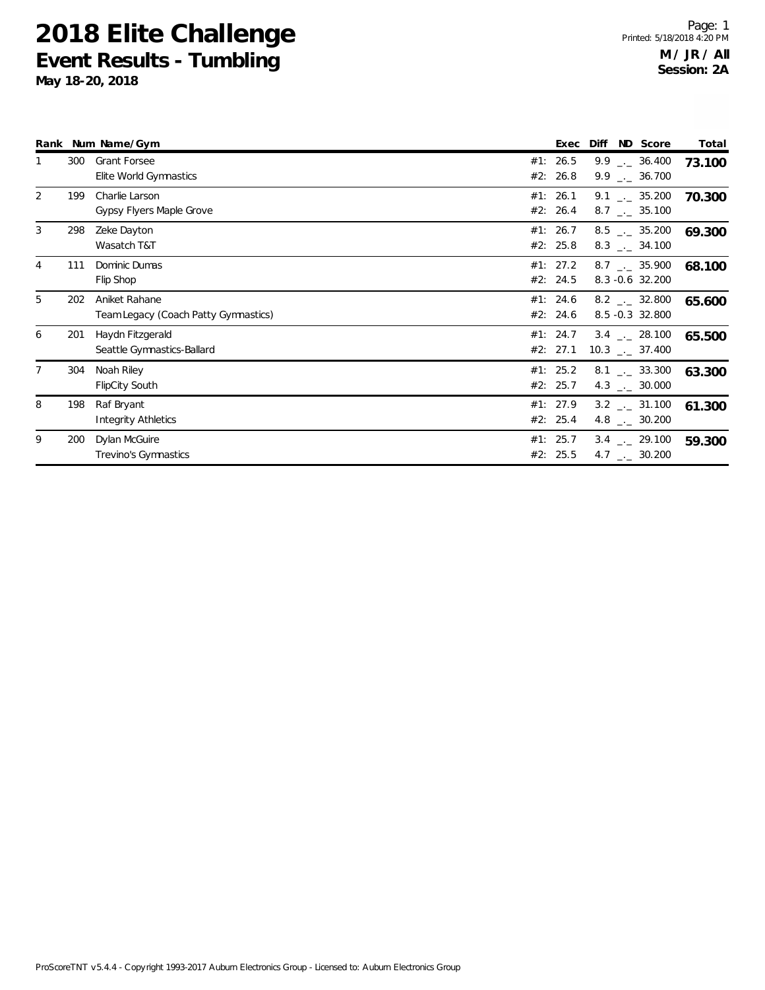|                |     | Rank Num Name/Gym                                     | Exec                 | ND Score<br>Diff                                         | Total  |
|----------------|-----|-------------------------------------------------------|----------------------|----------------------------------------------------------|--------|
|                | 300 | <b>Grant Forsee</b><br>Elite World Gymnastics         | #1: 26.5<br>#2: 26.8 | $9.9$ $_{\circ}$ 36.400<br>$9.9$ $_{\leftarrow}$ 36.700  | 73.100 |
| $\overline{2}$ | 199 | Charlie Larson<br>Gypsy Flyers Maple Grove            | #1: 26.1<br>#2: 26.4 | $9.1$ $_{\circ}$ 35.200<br>$8.7$ $\ldots$ 35.100         | 70.300 |
| 3              | 298 | Zeke Dayton<br>Wasatch T&T                            | #1: 26.7<br>#2: 25.8 | $8.5$ $_{\leftarrow}$ 35.200<br>$8.3$ _._ 34.100         | 69.300 |
| $\overline{4}$ | 111 | Dominic Dumas<br>Flip Shop                            | #1: 27.2<br>#2: 24.5 | $8.7$ $_{\sim}$ 35.900<br>8.3 -0.6 32.200                | 68.100 |
| 5              | 202 | Aniket Rahane<br>Team Legacy (Coach Patty Gymnastics) | #1: 24.6<br>#2: 24.6 | $8.2$ $_{\leftarrow}$ 32.800<br>8.5 -0.3 32.800          | 65.600 |
| 6              | 201 | Haydn Fitzgerald<br>Seattle Gymnastics-Ballard        | #1: 24.7<br>#2: 27.1 | $3.4$ $-.28.100$<br>$10.3$ _._ 37.400                    | 65.500 |
|                | 304 | Noah Riley<br><b>FlipCity South</b>                   | #1: 25.2<br>#2: 25.7 | $8.1$ $_{\sim}$ 33.300<br>4.3 $_{\leftarrow}$ 30.000     | 63.300 |
| 8              | 198 | Raf Bryant<br><b>Integrity Athletics</b>              | #1: 27.9<br>#2: 25.4 | $3.2$ $_{\sim}$ 31.100<br>4.8 $\frac{1}{2}$ 30.200       | 61.300 |
| 9              | 200 | Dylan McGuire<br>Trevino's Gymnastics                 | #1: 25.7<br>#2: 25.5 | $3.4$ $_{\leftarrow}$ 29.100<br>4.7 $\frac{1}{2}$ 30.200 | 59.300 |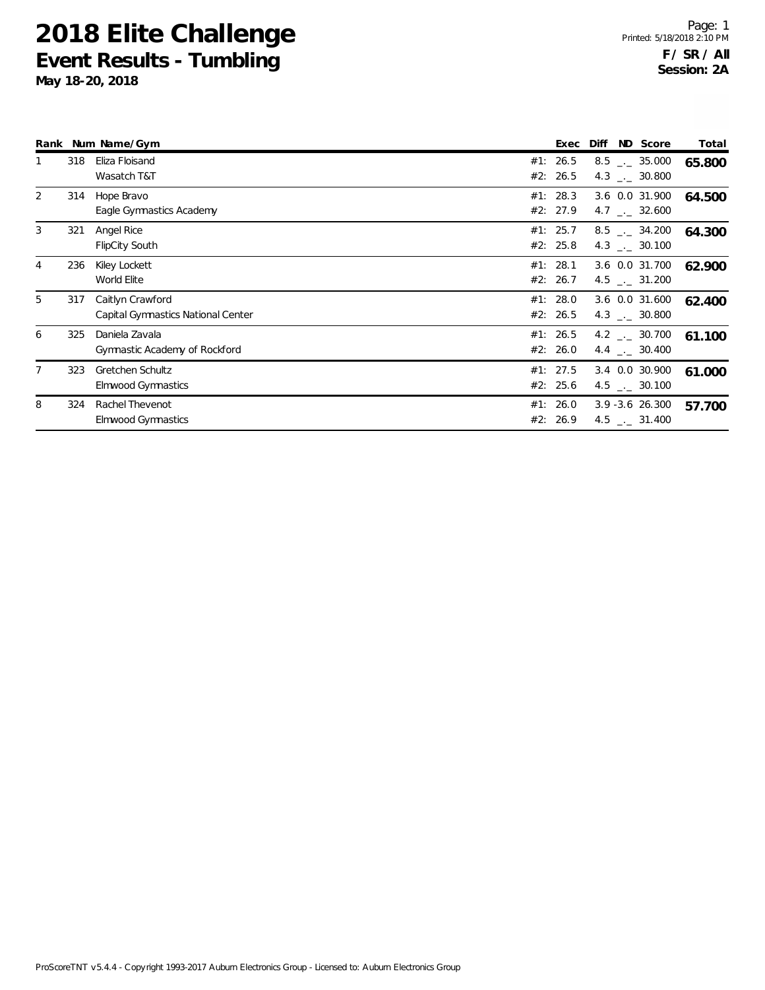|                |     | Rank Num Name/Gym                                      | Exec                 | Diff | ND Score                                                | Total  |
|----------------|-----|--------------------------------------------------------|----------------------|------|---------------------------------------------------------|--------|
|                | 318 | Eliza Floisand<br>Wasatch T&T                          | #1: 26.5<br>#2: 26.5 |      | $8.5$ $-.$ 35.000<br>4.3 $_{\leftarrow}$ 30.800         | 65.800 |
| 2              | 314 | Hope Bravo<br>Eagle Gymnastics Academy                 | #1: 28.3<br>#2: 27.9 |      | 3.6 0.0 31.900<br>4.7 $\qquad \qquad -2$ 32.600         | 64.500 |
| 3              | 321 | Angel Rice<br><b>FlipCity South</b>                    | #1: 25.7<br>#2: 25.8 |      | $8.5$ $-.$ 34.200<br>4.3 $\frac{1}{2}$ 30.100           | 64.300 |
| $\overline{4}$ | 236 | Kiley Lockett<br>World Elite                           | #1: 28.1<br>#2: 26.7 |      | 3.6 0.0 31.700<br>4.5 $\frac{1}{2}$ 31.200              | 62.900 |
| 5              | 317 | Caitlyn Crawford<br>Capital Gymnastics National Center | #1: 28.0<br>#2: 26.5 |      | 3.6 0.0 31.600<br>4.3 $\qquad$ 30.800                   | 62.400 |
| 6              | 325 | Daniela Zavala<br>Gymnastic Academy of Rockford        | #1: 26.5<br>#2: 26.0 |      | $4.2$ $_{\leftarrow}$ 30.700<br>4.4 $\leftarrow$ 30.400 | 61.100 |
| 7              | 323 | <b>Gretchen Schultz</b><br>Elmwood Gymnastics          | #1: 27.5<br>#2: 25.6 |      | 3.4 0.0 30.900<br>4.5 $\qquad$ 30.100                   | 61.000 |
| 8              | 324 | <b>Rachel Thevenot</b><br>Elmwood Gymnastics           | #1: 26.0<br>#2: 26.9 |      | $3.9 - 3.6$ 26.300<br>4.5 $\frac{1}{2}$ 31.400          | 57.700 |